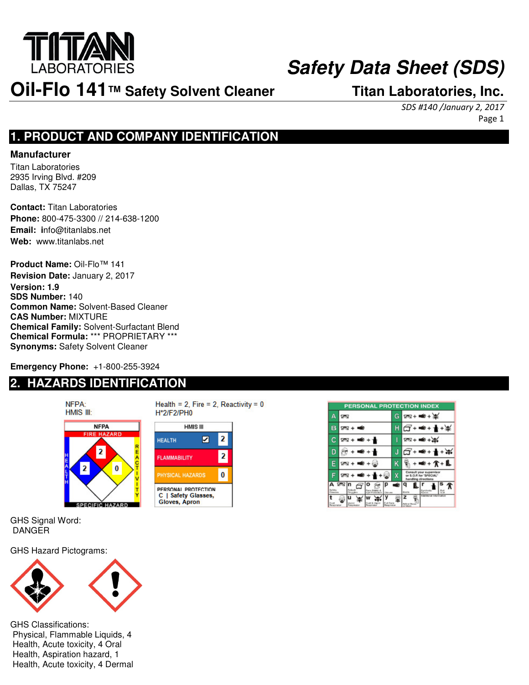

# **Safety Data Sheet (SDS)**

# **Oil-Flo 141™ Safety Solvent Cleaner Titan Laboratories, Inc.**

Page 1

# **1. PRODUCT AND COMPANY IDENTIFICATION**

### **Manufacturer**

Titan Laboratories 2935 Irving Blvd. #209 Dallas, TX 75247

**Contact:** Titan Laboratories **Phone:** 800-475-3300 // 214-638-1200 **Email: i**nfo@titanlabs.net **Web:** www.titanlabs.net

**Product Name:** Oil-Flo™ 141 **Revision Date:** January 2, 2017 **Version: 1.9 SDS Number:** 140 **Common Name:** Solvent-Based Cleaner **CAS Number:** MIXTURE **Chemical Family:** Solvent-Surfactant Blend **Chemical Formula:** \*\*\* PROPRIETARY \*\*\* **Synonyms:** Safety Solvent Cleaner

**Emergency Phone:** +1-800-255-3924

# **2. HAZARDS IDENTIFICATION**



GHS Signal Word: DANGER

GHS Hazard Pictograms:



GHS Classifications: Physical, Flammable Liquids, 4 Health, Acute toxicity, 4 Oral Health, Aspiration hazard, 1 Health, Acute toxicity, 4 Dermal







SDS #140 /January 2, 2017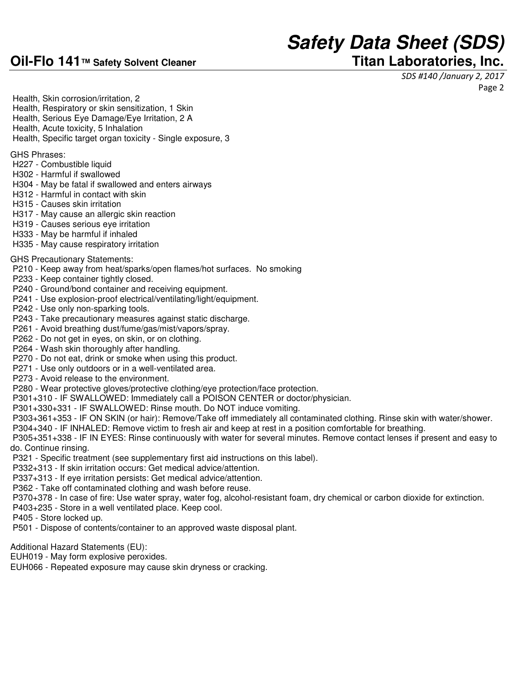# **Oil-Flo 141™ Safety Solvent Cleaner Titan Laboratories, Inc.**

# **Safety Data Sheet (SDS)**

SDS #140 /January 2, 2017

Page 2

 Health, Skin corrosion/irritation, 2 Health, Respiratory or skin sensitization, 1 Skin

- Health, Serious Eye Damage/Eye Irritation, 2 A
- Health, Acute toxicity, 5 Inhalation
- Health, Specific target organ toxicity Single exposure, 3

GHS Phrases:

- H227 Combustible liquid
- H302 Harmful if swallowed
- H304 May be fatal if swallowed and enters airways
- H312 Harmful in contact with skin
- H315 Causes skin irritation
- H317 May cause an allergic skin reaction
- H319 Causes serious eye irritation
- H333 May be harmful if inhaled
- H335 May cause respiratory irritation

### GHS Precautionary Statements:

- P210 Keep away from heat/sparks/open flames/hot surfaces. No smoking
- P233 Keep container tightly closed.
- P240 Ground/bond container and receiving equipment.
- P241 Use explosion-proof electrical/ventilating/light/equipment.
- P242 Use only non-sparking tools.
- P243 Take precautionary measures against static discharge.
- P261 Avoid breathing dust/fume/gas/mist/vapors/spray.
- P262 Do not get in eyes, on skin, or on clothing.
- P264 Wash skin thoroughly after handling.
- P270 Do not eat, drink or smoke when using this product.
- P271 Use only outdoors or in a well-ventilated area.
- P273 Avoid release to the environment.
- P280 Wear protective gloves/protective clothing/eye protection/face protection.
- P301+310 IF SWALLOWED: Immediately call a POISON CENTER or doctor/physician.
- P301+330+331 IF SWALLOWED: Rinse mouth. Do NOT induce vomiting.
- P303+361+353 IF ON SKIN (or hair): Remove/Take off immediately all contaminated clothing. Rinse skin with water/shower.
- P304+340 IF INHALED: Remove victim to fresh air and keep at rest in a position comfortable for breathing.
- P305+351+338 IF IN EYES: Rinse continuously with water for several minutes. Remove contact lenses if present and easy to do. Continue rinsing.
- P321 Specific treatment (see supplementary first aid instructions on this label).
- P332+313 If skin irritation occurs: Get medical advice/attention.
- P337+313 If eye irritation persists: Get medical advice/attention.
- P362 Take off contaminated clothing and wash before reuse.
- P370+378 In case of fire: Use water spray, water fog, alcohol-resistant foam, dry chemical or carbon dioxide for extinction.
- P403+235 Store in a well ventilated place. Keep cool.
- P405 Store locked up.
- P501 Dispose of contents/container to an approved waste disposal plant.

Additional Hazard Statements (EU):

- EUH019 May form explosive peroxides.
- EUH066 Repeated exposure may cause skin dryness or cracking.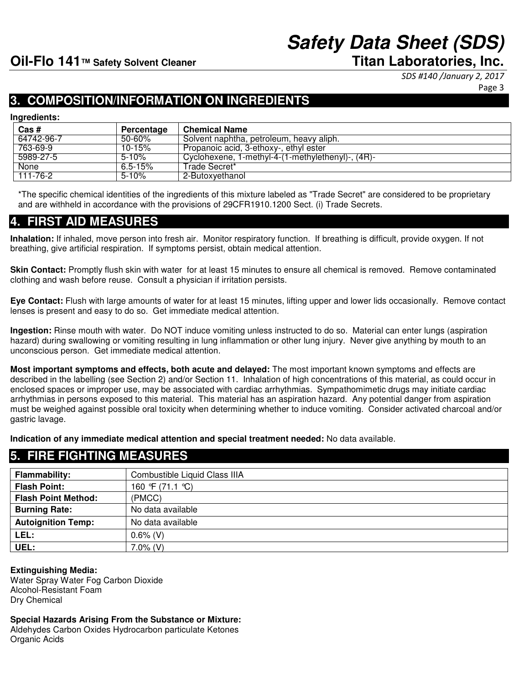# **Safety Data Sheet (SDS)**

SDS #140 /January 2, 2017

Page 3

# **3. COMPOSITION/INFORMATION ON INGREDIENTS**

#### **Ingredients:**

| Cas#       | Percentage  | <b>Chemical Name</b>                              |
|------------|-------------|---------------------------------------------------|
| 64742-96-7 | $50 - 60%$  | Solvent naphtha, petroleum, heavy aliph.          |
| 763-69-9   | $10 - 15%$  | Propanoic acid, 3-ethoxy-, ethyl ester            |
| 5989-27-5  | $5 - 10%$   | Cyclohexene, 1-methyl-4-(1-methylethenyl)-, (4R)- |
| None       | $6.5 - 15%$ | Trade Secret*                                     |
| 111-76-2   | $5 - 10%$   | 2-Butoxvethanol                                   |

\*The specific chemical identities of the ingredients of this mixture labeled as "Trade Secret" are considered to be proprietary and are withheld in accordance with the provisions of 29CFR1910.1200 Sect. (i) Trade Secrets.

### **4. FIRST AID MEASUREStion: Skin Contact: Eye Contact: Ingestion:**

**Inhalation:** If inhaled, move person into fresh air. Monitor respiratory function. If breathing is difficult, provide oxygen. If not breathing, give artificial respiration. If symptoms persist, obtain medical attention.

**Skin Contact:** Promptly flush skin with water for at least 15 minutes to ensure all chemical is removed. Remove contaminated clothing and wash before reuse. Consult a physician if irritation persists.

**Eye Contact:** Flush with large amounts of water for at least 15 minutes, lifting upper and lower lids occasionally. Remove contact lenses is present and easy to do so. Get immediate medical attention.

**Ingestion:** Rinse mouth with water. Do NOT induce vomiting unless instructed to do so. Material can enter lungs (aspiration hazard) during swallowing or vomiting resulting in lung inflammation or other lung injury. Never give anything by mouth to an unconscious person. Get immediate medical attention.

**Most important symptoms and effects, both acute and delayed:** The most important known symptoms and effects are described in the labelling (see Section 2) and/or Section 11. Inhalation of high concentrations of this material, as could occur in enclosed spaces or improper use, may be associated with cardiac arrhythmias. Sympathomimetic drugs may initiate cardiac arrhythmias in persons exposed to this material. This material has an aspiration hazard. Any potential danger from aspiration must be weighed against possible oral toxicity when determining whether to induce vomiting. Consider activated charcoal and/or gastric lavage.

**Indication of any immediate medical attention and special treatment needed:** No data available.

| 5. FIKE FIGHTING MEASUKES. |                               |  |  |
|----------------------------|-------------------------------|--|--|
| Flammability:              | Combustible Liquid Class IIIA |  |  |
| <b>Flash Point:</b>        | 160 °F (71.1 ℃)               |  |  |
| <b>Flash Point Method:</b> | (PMCC)                        |  |  |
| <b>Burning Rate:</b>       | No data available             |  |  |
| <b>Autoignition Temp:</b>  | No data available             |  |  |
| LEL:                       | $0.6\%$ (V)                   |  |  |
| UEL:                       | $7.0\%$ (V)                   |  |  |

#### **Extinguishing Media:**

Water Spray Water Fog Carbon Dioxide Alcohol-Resistant Foam Dry Chemical

**5. FIRE FIGHTING MEASURES** 

**Special Hazards Arising From the Substance or Mixture:** Aldehydes Carbon Oxides Hydrocarbon particulate Ketones

Organic Acids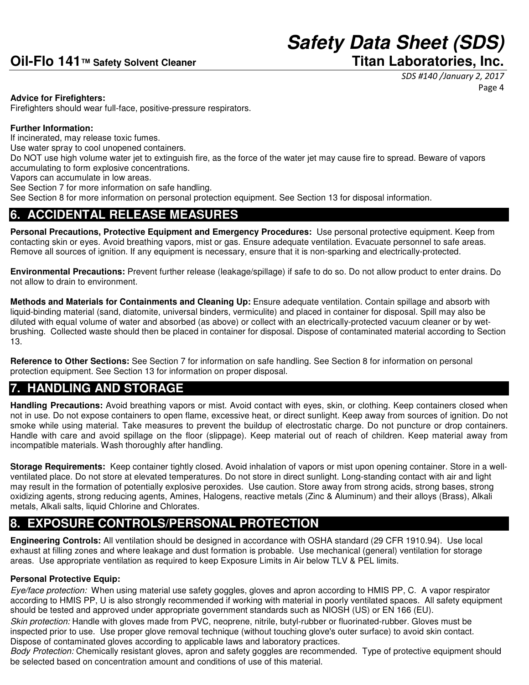SDS #140 /January 2, 2017 Page 4

### **Advice for Firefighters:**

Firefighters should wear full-face, positive-pressure respirators.

### **Further Information:**

If incinerated, may release toxic fumes.

Use water spray to cool unopened containers.

Do NOT use high volume water jet to extinguish fire, as the force of the water jet may cause fire to spread. Beware of vapors accumulating to form explosive concentrations.

Vapors can accumulate in low areas.

See Section 7 for more information on safe handling.

See Section 8 for more information on personal protection equipment. See Section 13 for disposal information.

# **6. ACCIDENTAL RELEASE MEASURES**

**Personal Precautions, Protective Equipment and Emergency Procedures:** Use personal protective equipment. Keep from contacting skin or eyes. Avoid breathing vapors, mist or gas. Ensure adequate ventilation. Evacuate personnel to safe areas. Remove all sources of ignition. If any equipment is necessary, ensure that it is non-sparking and electrically-protected.

**Environmental Precautions:** Prevent further release (leakage/spillage) if safe to do so. Do not allow product to enter drains. Do not allow to drain to environment.

**Methods and Materials for Containments and Cleaning Up:** Ensure adequate ventilation. Contain spillage and absorb with liquid-binding material (sand, diatomite, universal binders, vermiculite) and placed in container for disposal. Spill may also be diluted with equal volume of water and absorbed (as above) or collect with an electrically-protected vacuum cleaner or by wetbrushing. Collected waste should then be placed in container for disposal. Dispose of contaminated material according to Section 13.

**Reference to Other Sections:** See Section 7 for information on safe handling. See Section 8 for information on personal protection equipment. See Section 13 for information on proper disposal.

# **7. HANDLING AND STORAGE**

**Handling Precautions:** Avoid breathing vapors or mist. Avoid contact with eyes, skin, or clothing. Keep containers closed when not in use. Do not expose containers to open flame, excessive heat, or direct sunlight. Keep away from sources of ignition. Do not smoke while using material. Take measures to prevent the buildup of electrostatic charge. Do not puncture or drop containers. Handle with care and avoid spillage on the floor (slippage). Keep material out of reach of children. Keep material away from incompatible materials. Wash thoroughly after handling.

**Storage Requirements:** Keep container tightly closed. Avoid inhalation of vapors or mist upon opening container. Store in a wellventilated place. Do not store at elevated temperatures. Do not store in direct sunlight. Long-standing contact with air and light may result in the formation of potentially explosive peroxides. Use caution. Store away from strong acids, strong bases, strong oxidizing agents, strong reducing agents, Amines, Halogens, reactive metals (Zinc & Aluminum) and their alloys (Brass), Alkali metals, Alkali salts, liquid Chlorine and Chlorates.

# **8. EXPOSURE CONTROLS/PERSONAL PROTECTION**

**Engineering Controls:** All ventilation should be designed in accordance with OSHA standard (29 CFR 1910.94). Use local exhaust at filling zones and where leakage and dust formation is probable. Use mechanical (general) ventilation for storage areas. Use appropriate ventilation as required to keep Exposure Limits in Air below TLV & PEL limits.

### **Personal Protective Equip:**

Eye/face protection: When using material use safety goggles, gloves and apron according to HMIS PP, C. A vapor respirator according to HMIS PP, U is also strongly recommended if working with material in poorly ventilated spaces. All safety equipment should be tested and approved under appropriate government standards such as NIOSH (US) or EN 166 (EU).

Skin protection: Handle with gloves made from PVC, neoprene, nitrile, butyl-rubber or fluorinated-rubber. Gloves must be inspected prior to use. Use proper glove removal technique (without touching glove's outer surface) to avoid skin contact. Dispose of contaminated gloves according to applicable laws and laboratory practices.

Body Protection: Chemically resistant gloves, apron and safety goggles are recommended. Type of protective equipment should be selected based on concentration amount and conditions of use of this material.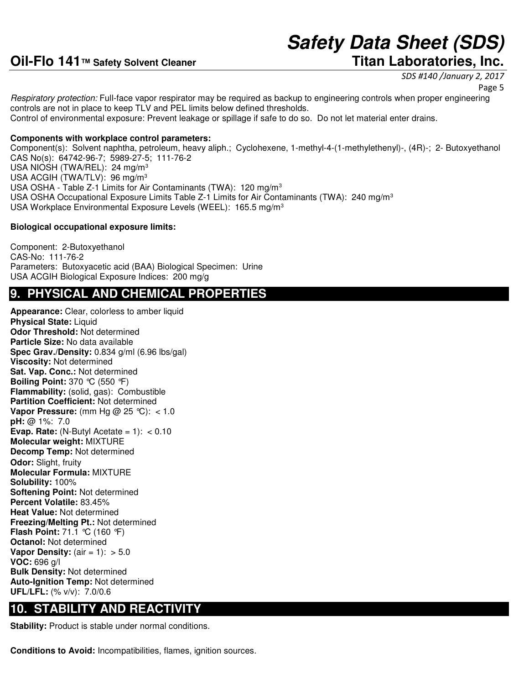SDS #140 /January 2, 2017

Page 5

Respiratory protection: Full-face vapor respirator may be required as backup to engineering controls when proper engineering controls are not in place to keep TLV and PEL limits below defined thresholds. Control of environmental exposure: Prevent leakage or spillage if safe to do so. Do not let material enter drains.

### **Components with workplace control parameters:**

Component(s): Solvent naphtha, petroleum, heavy aliph.; Cyclohexene, 1-methyl-4-(1-methylethenyl)-, (4R)-; 2- Butoxyethanol CAS No(s): 64742-96-7; 5989-27-5; 111-76-2 USA NIOSH (TWA/REL): 24 mg/m<sup>3</sup> USA ACGIH (TWA/TLV): 96 mg/m<sup>3</sup> USA OSHA - Table Z-1 Limits for Air Contaminants (TWA): 120 mg/m<sup>3</sup> USA OSHA Occupational Exposure Limits Table Z-1 Limits for Air Contaminants (TWA): 240 mg/m<sup>3</sup> USA Workplace Environmental Exposure Levels (WEEL): 165.5 mg/m<sup>3</sup>

### **Biological occupational exposure limits:**

Component: 2-Butoxyethanol CAS-No: 111-76-2 Parameters: Butoxyacetic acid (BAA) Biological Specimen: Urine USA ACGIH Biological Exposure Indices: 200 mg/g

### **9. PHYSICAL AND CHEMICAL PROPERTIES**

**Appearance:** Clear, colorless to amber liquid **Physical State: Liquid Odor Threshold:** Not determined **Particle Size:** No data available **Spec Grav./Density:** 0.834 g/ml (6.96 lbs/gal) **Viscosity:** Not determined **Sat. Vap. Conc.:** Not determined **Boiling Point:** 370 °C (550 °F) **Flammability:** (solid, gas): Combustible **Partition Coefficient:** Not determined **Vapor Pressure:** (mm Hg @ 25 °C): < 1.0 **pH:** @ 1%: 7.0 **Evap. Rate:** (N-Butyl Acetate =  $1$ ):  $< 0.10$ **Molecular weight:** MIXTURE **Decomp Temp:** Not determined **Odor:** Slight, fruity **Molecular Formula:** MIXTURE **Solubility:** 100% **Softening Point:** Not determined **Percent Volatile:** 83.45% **Heat Value:** Not determined **Freezing/Melting Pt.:** Not determined **Flash Point:** 71.1 °C (160 °F) **Octanol:** Not determined **Vapor Density:** (air = 1): > 5.0 **VOC:** 696 g/l **Bulk Density:** Not determined **Auto-Ignition Temp:** Not determined **UFL/LFL:** (% v/v): 7.0/0.6

### **10. STABILITY AND REACTIVITY**

**Stability:** Product is stable under normal conditions.

**Conditions to Avoid:** Incompatibilities, flames, ignition sources.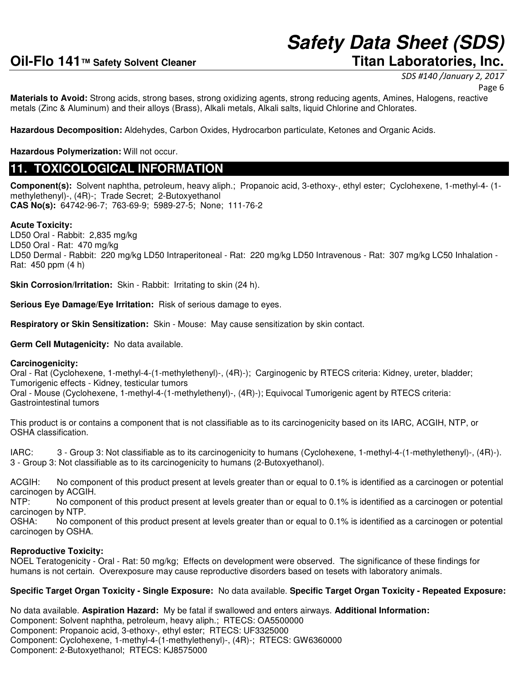# SDS #140 /January 2, 2017

Page 6

**Materials to Avoid:** Strong acids, strong bases, strong oxidizing agents, strong reducing agents, Amines, Halogens, reactive metals (Zinc & Aluminum) and their alloys (Brass), Alkali metals, Alkali salts, liquid Chlorine and Chlorates.

**Hazardous Decomposition:** Aldehydes, Carbon Oxides, Hydrocarbon particulate, Ketones and Organic Acids.

**Hazardous Polymerization:** Will not occur.

### **11. TOXICOLOGICAL INFORMATION**

**Component(s):** Solvent naphtha, petroleum, heavy aliph.; Propanoic acid, 3-ethoxy-, ethyl ester; Cyclohexene, 1-methyl-4- (1 methylethenyl)-, (4R)-; Trade Secret; 2-Butoxyethanol **CAS No(s):** 64742-96-7; 763-69-9; 5989-27-5; None; 111-76-2

### **Acute Toxicity:**

LD50 Oral - Rabbit: 2,835 mg/kg LD50 Oral - Rat: 470 mg/kg LD50 Dermal - Rabbit: 220 mg/kg LD50 Intraperitoneal - Rat: 220 mg/kg LD50 Intravenous - Rat: 307 mg/kg LC50 Inhalation - Rat: 450 ppm (4 h)

**Skin Corrosion/Irritation:** Skin - Rabbit: Irritating to skin (24 h).

**Serious Eye Damage/Eye Irritation:** Risk of serious damage to eyes.

**Respiratory or Skin Sensitization:** Skin - Mouse: May cause sensitization by skin contact.

**Germ Cell Mutagenicity:** No data available.

#### **Carcinogenicity:**

Oral - Rat (Cyclohexene, 1-methyl-4-(1-methylethenyl)-, (4R)-); Carginogenic by RTECS criteria: Kidney, ureter, bladder; Tumorigenic effects - Kidney, testicular tumors

Oral - Mouse (Cyclohexene, 1-methyl-4-(1-methylethenyl)-, (4R)-); Equivocal Tumorigenic agent by RTECS criteria: Gastrointestinal tumors

This product is or contains a component that is not classifiable as to its carcinogenicity based on its IARC, ACGIH, NTP, or OSHA classification.

IARC: 3 - Group 3: Not classifiable as to its carcinogenicity to humans (Cyclohexene, 1-methyl-4-(1-methylethenyl)-, (4R)-). 3 - Group 3: Not classifiable as to its carcinogenicity to humans (2-Butoxyethanol).

ACGIH: No component of this product present at levels greater than or equal to 0.1% is identified as a carcinogen or potential carcinogen by ACGIH.

NTP: No component of this product present at levels greater than or equal to 0.1% is identified as a carcinogen or potential carcinogen by NTP.

OSHA: No component of this product present at levels greater than or equal to 0.1% is identified as a carcinogen or potential carcinogen by OSHA.

### **Reproductive Toxicity:**

NOEL Teratogenicity - Oral - Rat: 50 mg/kg; Effects on development were observed. The significance of these findings for humans is not certain. Overexposure may cause reproductive disorders based on tesets with laboratory animals.

### **Specific Target Organ Toxicity - Single Exposure:** No data available. **Specific Target Organ Toxicity - Repeated Exposure:**

No data available. **Aspiration Hazard:** My be fatal if swallowed and enters airways. **Additional Information:** Component: Solvent naphtha, petroleum, heavy aliph.; RTECS: OA5500000 Component: Propanoic acid, 3-ethoxy-, ethyl ester; RTECS: UF3325000 Component: Cyclohexene, 1-methyl-4-(1-methylethenyl)-, (4R)-; RTECS: GW6360000 Component: 2-Butoxyethanol; RTECS: KJ8575000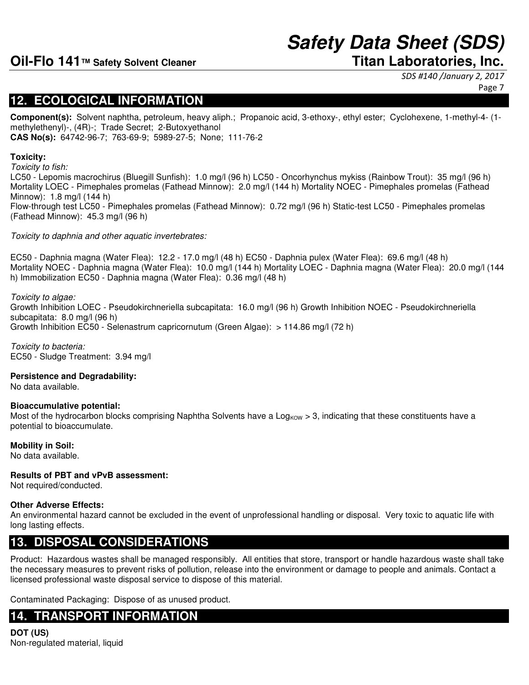# **Safety Data Sheet (SDS)**

SDS #140 /January 2, 2017

Page 7

### **12. ECOLOGICAL INFORMATION**

**Component(s):** Solvent naphtha, petroleum, heavy aliph.; Propanoic acid, 3-ethoxy-, ethyl ester; Cyclohexene, 1-methyl-4- (1 methylethenyl)-, (4R)-; Trade Secret; 2-Butoxyethanol **CAS No(s):** 64742-96-7; 763-69-9; 5989-27-5; None; 111-76-2

### **Toxicity:**

Toxicity to fish:

LC50 - Lepomis macrochirus (Bluegill Sunfish): 1.0 mg/l (96 h) LC50 - Oncorhynchus mykiss (Rainbow Trout): 35 mg/l (96 h) Mortality LOEC - Pimephales promelas (Fathead Minnow): 2.0 mg/l (144 h) Mortality NOEC - Pimephales promelas (Fathead Minnow): 1.8 mg/l (144 h) Flow-through test LC50 - Pimephales promelas (Fathead Minnow): 0.72 mg/l (96 h) Static-test LC50 - Pimephales promelas (Fathead Minnow): 45.3 mg/l (96 h)

Toxicity to daphnia and other aquatic invertebrates:

EC50 - Daphnia magna (Water Flea): 12.2 - 17.0 mg/l (48 h) EC50 - Daphnia pulex (Water Flea): 69.6 mg/l (48 h) Mortality NOEC - Daphnia magna (Water Flea): 10.0 mg/l (144 h) Mortality LOEC - Daphnia magna (Water Flea): 20.0 mg/l (144 h) Immobilization EC50 - Daphnia magna (Water Flea): 0.36 mg/l (48 h)

### Toxicity to algae:

Growth Inhibition LOEC - Pseudokirchneriella subcapitata: 16.0 mg/l (96 h) Growth Inhibition NOEC - Pseudokirchneriella subcapitata: 8.0 mg/l (96 h) Growth Inhibition EC50 - Selenastrum capricornutum (Green Algae): > 114.86 mg/l (72 h)

Toxicity to bacteria: EC50 - Sludge Treatment: 3.94 mg/l

### **Persistence and Degradability:**

No data available.

### **Bioaccumulative potential:**

Most of the hydrocarbon blocks comprising Naphtha Solvents have a Log<sub>KOW</sub> > 3, indicating that these constituents have a potential to bioaccumulate.

### **Mobility in Soil:**

No data available.

### **Results of PBT and vPvB assessment:**

Not required/conducted.

### **Other Adverse Effects:**

An environmental hazard cannot be excluded in the event of unprofessional handling or disposal. Very toxic to aquatic life with long lasting effects.

# **13. DISPOSAL CONSIDERATIONS**

Product: Hazardous wastes shall be managed responsibly. All entities that store, transport or handle hazardous waste shall take the necessary measures to prevent risks of pollution, release into the environment or damage to people and animals. Contact a licensed professional waste disposal service to dispose of this material.

Contaminated Packaging: Dispose of as unused product.

# **14. TRANSPORT INFORMATION**

**DOT (US)** Non-regulated material, liquid